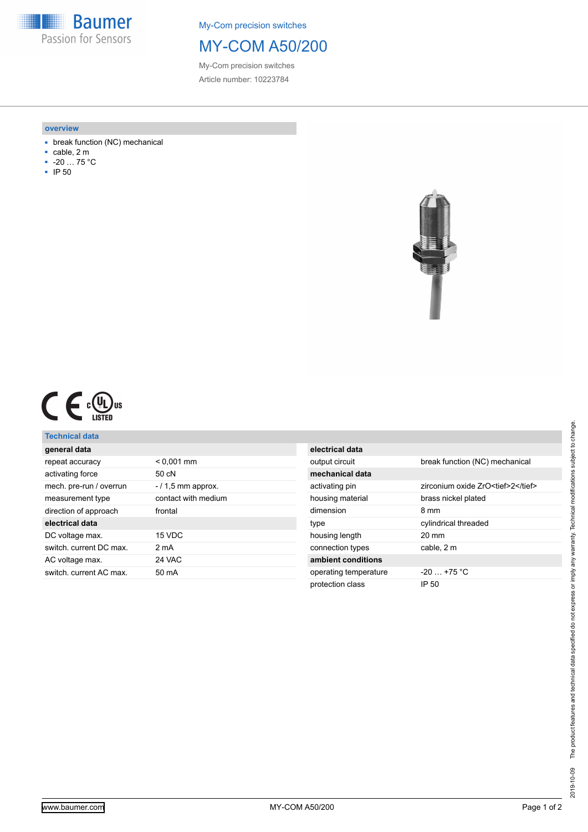**Baumer** Passion for Sensors

My-Com precision switches

## MY-COM A50/200

My-Com precision switches Article number: 10223784

#### **overview**

- break function (NC) mechanical
- cable, 2 m
- -20 … 75 °C
- IP 50



|  |  | ը( Սյ<br>l us<br>LISTED |
|--|--|-------------------------|
|--|--|-------------------------|

### **Technical data**

| general data            |                     |
|-------------------------|---------------------|
| repeat accuracy         | $< 0.001$ mm        |
| activating force        | 50 cN               |
| mech. pre-run / overrun | $-11.5$ mm approx.  |
| measurement type        | contact with medium |
| direction of approach   | frontal             |
| electrical data         |                     |
| DC voltage max.         | 15 VDC              |
| switch, current DC max. | 2 mA                |
| AC voltage max.         | 24 VAC              |
| switch, current AC max. | 50 mA               |
|                         |                     |

| electrical data       |                                    |
|-----------------------|------------------------------------|
| output circuit        | break function (NC) mechanical     |
| mechanical data       |                                    |
| activating pin        | zirconium oxide ZrO <tief>2</tief> |
| housing material      | brass nickel plated                |
| dimension             | 8 mm                               |
| type                  | cylindrical threaded               |
| housing length        | $20 \text{ mm}$                    |
| connection types      | cable, 2 m                         |
| ambient conditions    |                                    |
| operating temperature | $-20 + 75$ °C                      |
| protection class      | IP 50                              |